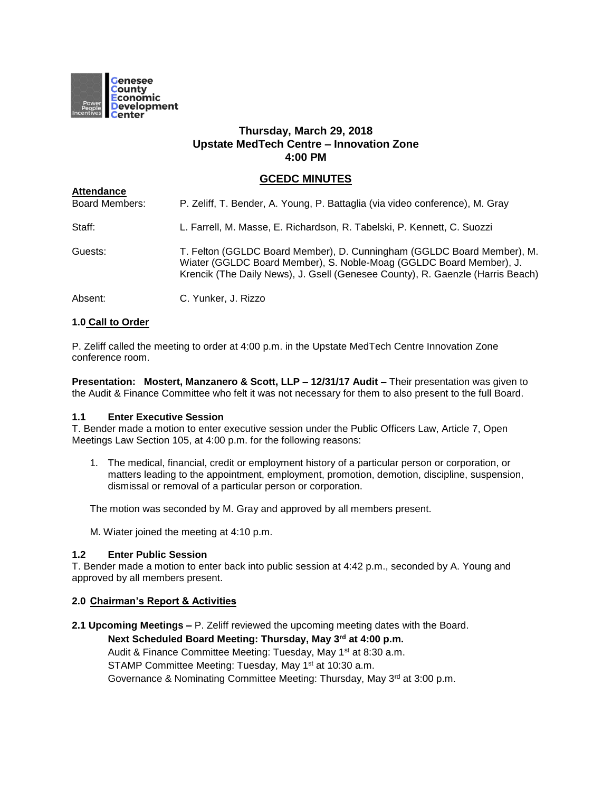

# **Thursday, March 29, 2018 Upstate MedTech Centre – Innovation Zone 4:00 PM**

# **GCEDC MINUTES**

| <b>Allenualice</b><br><b>Board Members:</b> | P. Zeliff, T. Bender, A. Young, P. Battaglia (via video conference), M. Gray                                                                                                                                                    |
|---------------------------------------------|---------------------------------------------------------------------------------------------------------------------------------------------------------------------------------------------------------------------------------|
| Staff:                                      | L. Farrell, M. Masse, E. Richardson, R. Tabelski, P. Kennett, C. Suozzi                                                                                                                                                         |
| Guests:                                     | T. Felton (GGLDC Board Member), D. Cunningham (GGLDC Board Member), M.<br>Wiater (GGLDC Board Member), S. Noble-Moag (GGLDC Board Member), J.<br>Krencik (The Daily News), J. Gsell (Genesee County), R. Gaenzle (Harris Beach) |
| Absent:                                     | C. Yunker, J. Rizzo                                                                                                                                                                                                             |

# **1.0 Call to Order**

**Attendance**

P. Zeliff called the meeting to order at 4:00 p.m. in the Upstate MedTech Centre Innovation Zone conference room.

**Presentation: Mostert, Manzanero & Scott, LLP – 12/31/17 Audit –** Their presentation was given to the Audit & Finance Committee who felt it was not necessary for them to also present to the full Board.

#### **1.1 Enter Executive Session**

T. Bender made a motion to enter executive session under the Public Officers Law, Article 7, Open Meetings Law Section 105, at 4:00 p.m. for the following reasons:

1. The medical, financial, credit or employment history of a particular person or corporation, or matters leading to the appointment, employment, promotion, demotion, discipline, suspension, dismissal or removal of a particular person or corporation.

The motion was seconded by M. Gray and approved by all members present.

M. Wiater joined the meeting at 4:10 p.m.

## **1.2 Enter Public Session**

T. Bender made a motion to enter back into public session at 4:42 p.m., seconded by A. Young and approved by all members present.

#### **2.0 Chairman's Report & Activities**

**2.1 Upcoming Meetings –** P. Zeliff reviewed the upcoming meeting dates with the Board.

# **Next Scheduled Board Meeting: Thursday, May 3rd at 4:00 p.m.**

Audit & Finance Committee Meeting: Tuesday, May 1<sup>st</sup> at 8:30 a.m.

STAMP Committee Meeting: Tuesday, May 1<sup>st</sup> at 10:30 a.m.

Governance & Nominating Committee Meeting: Thursday, May 3<sup>rd</sup> at 3:00 p.m.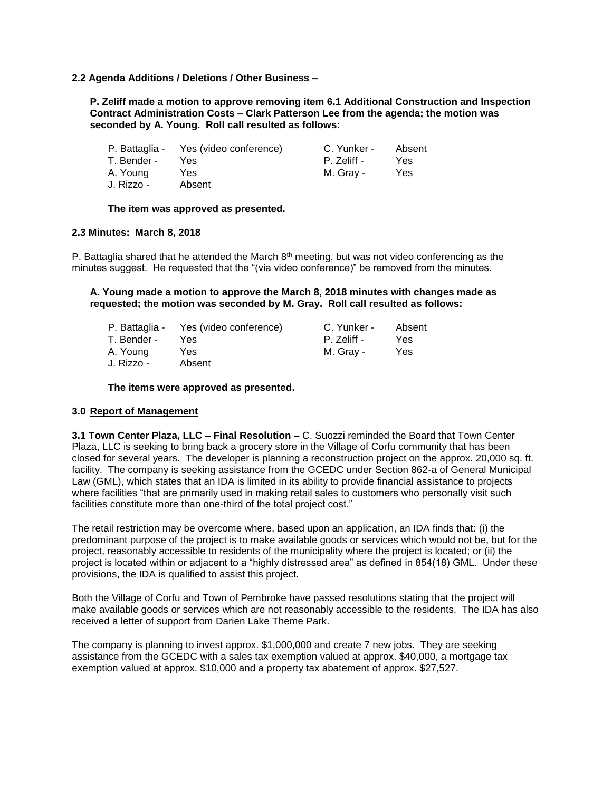#### **2.2 Agenda Additions / Deletions / Other Business –**

**P. Zeliff made a motion to approve removing item 6.1 Additional Construction and Inspection Contract Administration Costs – Clark Patterson Lee from the agenda; the motion was seconded by A. Young. Roll call resulted as follows:**

|             | P. Battaglia - Yes (video conference) | C. Yunker - | Absent |
|-------------|---------------------------------------|-------------|--------|
| T. Bender - | Yes.                                  | P. Zeliff - | Yes.   |
| A. Young    | Yes                                   | M. Grav -   | Yes    |
| J. Rizzo -  | Absent                                |             |        |

#### **The item was approved as presented.**

#### **2.3 Minutes: March 8, 2018**

P. Battaglia shared that he attended the March  $8<sup>th</sup>$  meeting, but was not video conferencing as the minutes suggest. He requested that the "(via video conference)" be removed from the minutes.

**A. Young made a motion to approve the March 8, 2018 minutes with changes made as requested; the motion was seconded by M. Gray. Roll call resulted as follows:**

|             | P. Battaglia - Yes (video conference) | C. Yunker - | Absent |
|-------------|---------------------------------------|-------------|--------|
| T. Bender - | Yes.                                  | P. Zeliff - | Yes    |
| A. Young    | Yes.                                  | M. Gray -   | Yes    |
| J. Rizzo -  | Absent                                |             |        |

**The items were approved as presented.**

#### **3.0 Report of Management**

**3.1 Town Center Plaza, LLC – Final Resolution –** C. Suozzi reminded the Board that Town Center Plaza, LLC is seeking to bring back a grocery store in the Village of Corfu community that has been closed for several years. The developer is planning a reconstruction project on the approx. 20,000 sq. ft. facility. The company is seeking assistance from the GCEDC under Section 862-a of General Municipal Law (GML), which states that an IDA is limited in its ability to provide financial assistance to projects where facilities "that are primarily used in making retail sales to customers who personally visit such facilities constitute more than one-third of the total project cost."

The retail restriction may be overcome where, based upon an application, an IDA finds that: (i) the predominant purpose of the project is to make available goods or services which would not be, but for the project, reasonably accessible to residents of the municipality where the project is located; or (ii) the project is located within or adjacent to a "highly distressed area" as defined in 854(18) GML. Under these provisions, the IDA is qualified to assist this project.

Both the Village of Corfu and Town of Pembroke have passed resolutions stating that the project will make available goods or services which are not reasonably accessible to the residents. The IDA has also received a letter of support from Darien Lake Theme Park.

The company is planning to invest approx. \$1,000,000 and create 7 new jobs. They are seeking assistance from the GCEDC with a sales tax exemption valued at approx. \$40,000, a mortgage tax exemption valued at approx. \$10,000 and a property tax abatement of approx. \$27,527.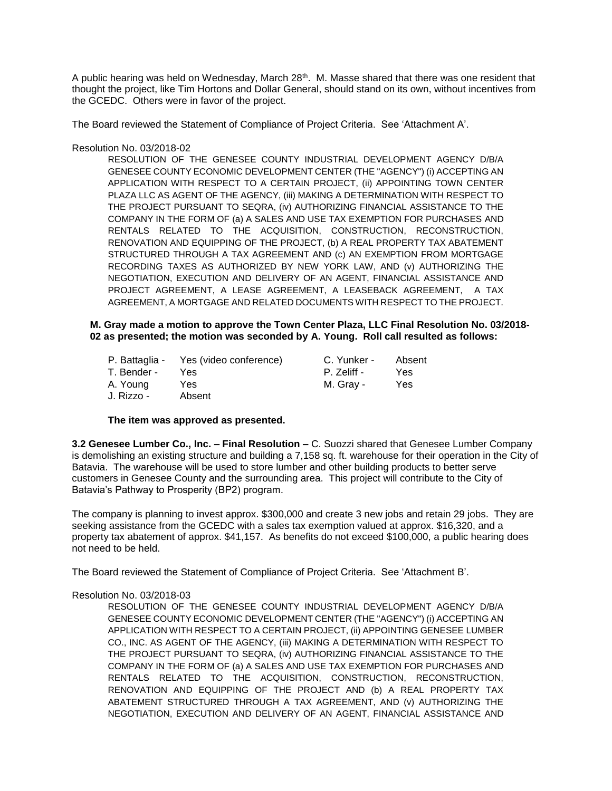A public hearing was held on Wednesday, March 28<sup>th</sup>. M. Masse shared that there was one resident that thought the project, like Tim Hortons and Dollar General, should stand on its own, without incentives from the GCEDC. Others were in favor of the project.

The Board reviewed the Statement of Compliance of Project Criteria. See 'Attachment A'.

Resolution No. 03/2018-02

RESOLUTION OF THE GENESEE COUNTY INDUSTRIAL DEVELOPMENT AGENCY D/B/A GENESEE COUNTY ECONOMIC DEVELOPMENT CENTER (THE "AGENCY") (i) ACCEPTING AN APPLICATION WITH RESPECT TO A CERTAIN PROJECT, (ii) APPOINTING TOWN CENTER PLAZA LLC AS AGENT OF THE AGENCY, (iii) MAKING A DETERMINATION WITH RESPECT TO THE PROJECT PURSUANT TO SEQRA, (iv) AUTHORIZING FINANCIAL ASSISTANCE TO THE COMPANY IN THE FORM OF (a) A SALES AND USE TAX EXEMPTION FOR PURCHASES AND RENTALS RELATED TO THE ACQUISITION, CONSTRUCTION, RECONSTRUCTION, RENOVATION AND EQUIPPING OF THE PROJECT, (b) A REAL PROPERTY TAX ABATEMENT STRUCTURED THROUGH A TAX AGREEMENT AND (c) AN EXEMPTION FROM MORTGAGE RECORDING TAXES AS AUTHORIZED BY NEW YORK LAW, AND (v) AUTHORIZING THE NEGOTIATION, EXECUTION AND DELIVERY OF AN AGENT, FINANCIAL ASSISTANCE AND PROJECT AGREEMENT, A LEASE AGREEMENT, A LEASEBACK AGREEMENT, A TAX AGREEMENT, A MORTGAGE AND RELATED DOCUMENTS WITH RESPECT TO THE PROJECT.

#### **M. Gray made a motion to approve the Town Center Plaza, LLC Final Resolution No. 03/2018- 02 as presented; the motion was seconded by A. Young. Roll call resulted as follows:**

|             | P. Battaglia - Yes (video conference) | C. Yunker - | Absent |
|-------------|---------------------------------------|-------------|--------|
| T. Bender - | Yes                                   | P. Zeliff - | Yes    |
| A. Young    | Yes                                   | M. Gray -   | Yes    |
| J. Rizzo -  | Absent                                |             |        |

#### **The item was approved as presented.**

**3.2 Genesee Lumber Co., Inc. – Final Resolution –** C. Suozzi shared that Genesee Lumber Company is demolishing an existing structure and building a 7,158 sq. ft. warehouse for their operation in the City of Batavia. The warehouse will be used to store lumber and other building products to better serve customers in Genesee County and the surrounding area. This project will contribute to the City of Batavia's Pathway to Prosperity (BP2) program.

The company is planning to invest approx. \$300,000 and create 3 new jobs and retain 29 jobs. They are seeking assistance from the GCEDC with a sales tax exemption valued at approx. \$16,320, and a property tax abatement of approx. \$41,157. As benefits do not exceed \$100,000, a public hearing does not need to be held.

The Board reviewed the Statement of Compliance of Project Criteria. See 'Attachment B'.

#### Resolution No. 03/2018-03

RESOLUTION OF THE GENESEE COUNTY INDUSTRIAL DEVELOPMENT AGENCY D/B/A GENESEE COUNTY ECONOMIC DEVELOPMENT CENTER (THE "AGENCY") (i) ACCEPTING AN APPLICATION WITH RESPECT TO A CERTAIN PROJECT, (ii) APPOINTING GENESEE LUMBER CO., INC. AS AGENT OF THE AGENCY, (iii) MAKING A DETERMINATION WITH RESPECT TO THE PROJECT PURSUANT TO SEQRA, (iv) AUTHORIZING FINANCIAL ASSISTANCE TO THE COMPANY IN THE FORM OF (a) A SALES AND USE TAX EXEMPTION FOR PURCHASES AND RENTALS RELATED TO THE ACQUISITION, CONSTRUCTION, RECONSTRUCTION, RENOVATION AND EQUIPPING OF THE PROJECT AND (b) A REAL PROPERTY TAX ABATEMENT STRUCTURED THROUGH A TAX AGREEMENT, AND (v) AUTHORIZING THE NEGOTIATION, EXECUTION AND DELIVERY OF AN AGENT, FINANCIAL ASSISTANCE AND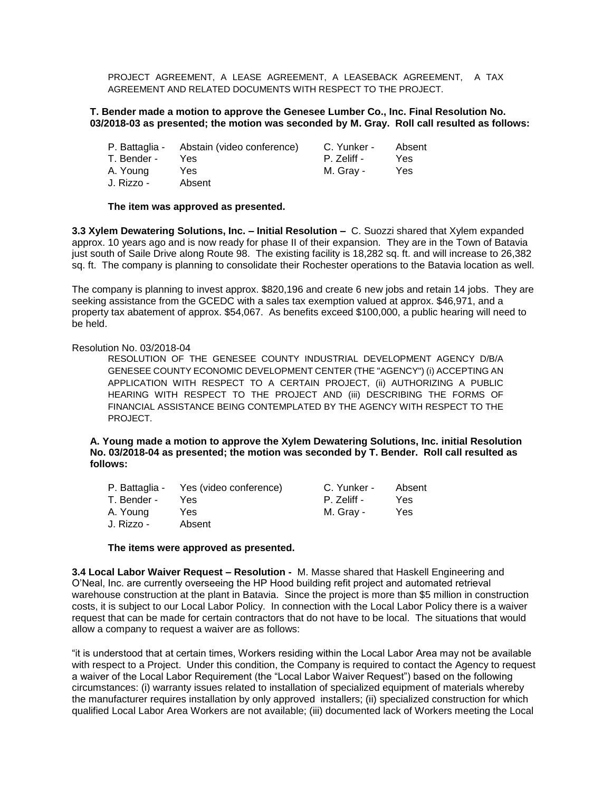PROJECT AGREEMENT, A LEASE AGREEMENT, A LEASEBACK AGREEMENT, A TAX AGREEMENT AND RELATED DOCUMENTS WITH RESPECT TO THE PROJECT.

#### **T. Bender made a motion to approve the Genesee Lumber Co., Inc. Final Resolution No. 03/2018-03 as presented; the motion was seconded by M. Gray. Roll call resulted as follows:**

|             | P. Battaglia - Abstain (video conference) | C. Yunker - | Absent |
|-------------|-------------------------------------------|-------------|--------|
| T. Bender - | Yes                                       | P. Zeliff - | Yes    |
| A. Young    | Yes.                                      | M. Grav -   | Yes.   |
| J. Rizzo -  | Absent                                    |             |        |

#### **The item was approved as presented.**

**3.3 Xylem Dewatering Solutions, Inc. – Initial Resolution –** C. Suozzi shared that Xylem expanded approx. 10 years ago and is now ready for phase II of their expansion. They are in the Town of Batavia just south of Saile Drive along Route 98. The existing facility is 18,282 sq. ft. and will increase to 26,382 sq. ft. The company is planning to consolidate their Rochester operations to the Batavia location as well.

The company is planning to invest approx. \$820,196 and create 6 new jobs and retain 14 jobs. They are seeking assistance from the GCEDC with a sales tax exemption valued at approx. \$46,971, and a property tax abatement of approx. \$54,067. As benefits exceed \$100,000, a public hearing will need to be held.

#### Resolution No. 03/2018-04

RESOLUTION OF THE GENESEE COUNTY INDUSTRIAL DEVELOPMENT AGENCY D/B/A GENESEE COUNTY ECONOMIC DEVELOPMENT CENTER (THE "AGENCY") (i) ACCEPTING AN APPLICATION WITH RESPECT TO A CERTAIN PROJECT, (ii) AUTHORIZING A PUBLIC HEARING WITH RESPECT TO THE PROJECT AND (iii) DESCRIBING THE FORMS OF FINANCIAL ASSISTANCE BEING CONTEMPLATED BY THE AGENCY WITH RESPECT TO THE PROJECT.

**A. Young made a motion to approve the Xylem Dewatering Solutions, Inc. initial Resolution No. 03/2018-04 as presented; the motion was seconded by T. Bender. Roll call resulted as follows:**

|             | P. Battaglia - Yes (video conference) | C. Yunker - | Absent |
|-------------|---------------------------------------|-------------|--------|
| T. Bender - | Yes.                                  | P. Zeliff - | Yes    |
| A. Young    | Yes                                   | M. Grav -   | Yes    |
| J. Rizzo -  | Absent                                |             |        |

#### **The items were approved as presented.**

**3.4 Local Labor Waiver Request – Resolution -** M. Masse shared that Haskell Engineering and O'Neal, Inc. are currently overseeing the HP Hood building refit project and automated retrieval warehouse construction at the plant in Batavia. Since the project is more than \$5 million in construction costs, it is subject to our Local Labor Policy. In connection with the Local Labor Policy there is a waiver request that can be made for certain contractors that do not have to be local. The situations that would allow a company to request a waiver are as follows:

"it is understood that at certain times, Workers residing within the Local Labor Area may not be available with respect to a Project. Under this condition, the Company is required to contact the Agency to request a waiver of the Local Labor Requirement (the "Local Labor Waiver Request") based on the following circumstances: (i) warranty issues related to installation of specialized equipment of materials whereby the manufacturer requires installation by only approved installers; (ii) specialized construction for which qualified Local Labor Area Workers are not available; (iii) documented lack of Workers meeting the Local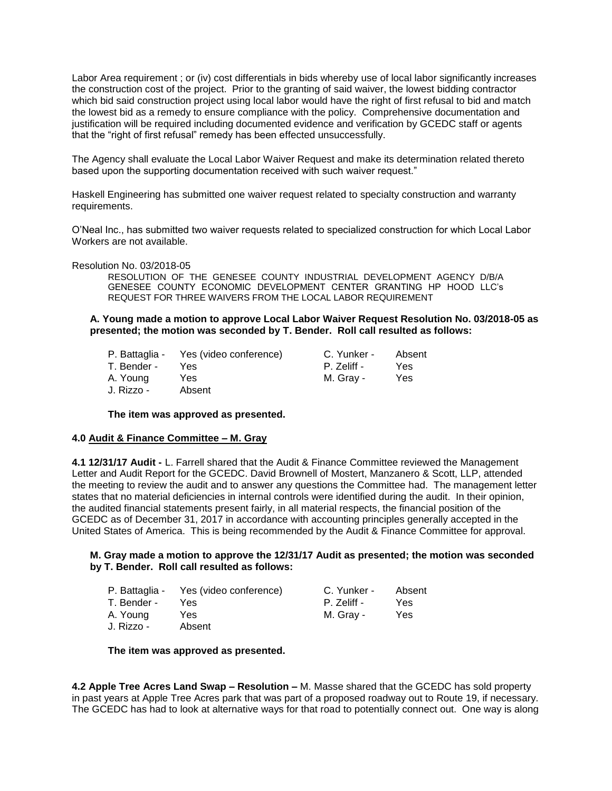Labor Area requirement ; or (iv) cost differentials in bids whereby use of local labor significantly increases the construction cost of the project. Prior to the granting of said waiver, the lowest bidding contractor which bid said construction project using local labor would have the right of first refusal to bid and match the lowest bid as a remedy to ensure compliance with the policy. Comprehensive documentation and justification will be required including documented evidence and verification by GCEDC staff or agents that the "right of first refusal" remedy has been effected unsuccessfully.

The Agency shall evaluate the Local Labor Waiver Request and make its determination related thereto based upon the supporting documentation received with such waiver request."

Haskell Engineering has submitted one waiver request related to specialty construction and warranty requirements.

O'Neal Inc., has submitted two waiver requests related to specialized construction for which Local Labor Workers are not available.

Resolution No. 03/2018-05

RESOLUTION OF THE GENESEE COUNTY INDUSTRIAL DEVELOPMENT AGENCY D/B/A GENESEE COUNTY ECONOMIC DEVELOPMENT CENTER GRANTING HP HOOD LLC's REQUEST FOR THREE WAIVERS FROM THE LOCAL LABOR REQUIREMENT

**A. Young made a motion to approve Local Labor Waiver Request Resolution No. 03/2018-05 as presented; the motion was seconded by T. Bender. Roll call resulted as follows:**

|             | P. Battaglia - Yes (video conference) | C. Yunker - | Absent |
|-------------|---------------------------------------|-------------|--------|
| T. Bender - | Yes.                                  | P. Zeliff - | Yes    |
| A. Young    | Yes                                   | M. Grav -   | Yes    |
| J. Rizzo -  | Absent                                |             |        |

**The item was approved as presented.**

#### **4.0 Audit & Finance Committee – M. Gray**

**4.1 12/31/17 Audit -** L. Farrell shared that the Audit & Finance Committee reviewed the Management Letter and Audit Report for the GCEDC. David Brownell of Mostert, Manzanero & Scott, LLP, attended the meeting to review the audit and to answer any questions the Committee had. The management letter states that no material deficiencies in internal controls were identified during the audit. In their opinion, the audited financial statements present fairly, in all material respects, the financial position of the GCEDC as of December 31, 2017 in accordance with accounting principles generally accepted in the United States of America. This is being recommended by the Audit & Finance Committee for approval.

#### **M. Gray made a motion to approve the 12/31/17 Audit as presented; the motion was seconded by T. Bender. Roll call resulted as follows:**

|             | P. Battaglia - Yes (video conference) | C. Yunker - | Absent |
|-------------|---------------------------------------|-------------|--------|
| T. Bender - | Yes                                   | P. Zeliff - | Yes.   |
| A. Young    | Yes                                   | M. Grav -   | Yes    |
| J. Rizzo -  | Absent                                |             |        |

**The item was approved as presented.**

**4.2 Apple Tree Acres Land Swap – Resolution –** M. Masse shared that the GCEDC has sold property in past years at Apple Tree Acres park that was part of a proposed roadway out to Route 19, if necessary. The GCEDC has had to look at alternative ways for that road to potentially connect out. One way is along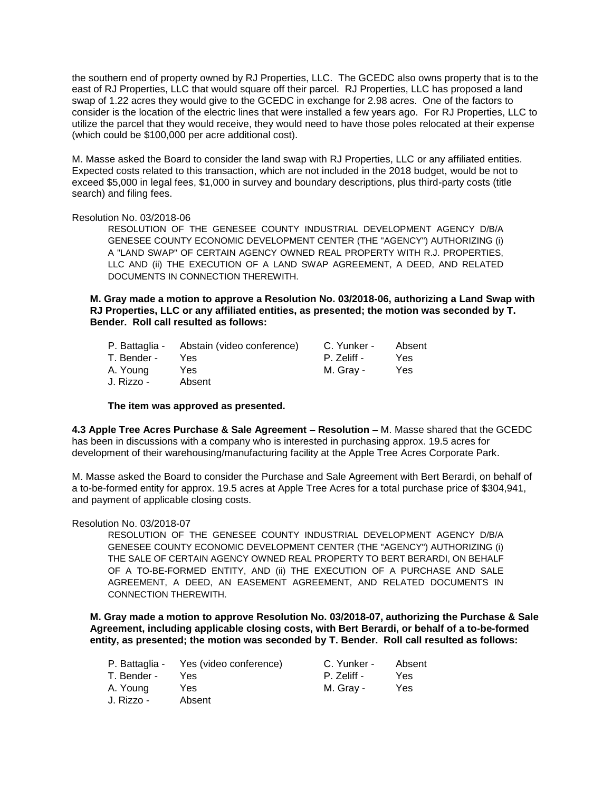the southern end of property owned by RJ Properties, LLC. The GCEDC also owns property that is to the east of RJ Properties, LLC that would square off their parcel. RJ Properties, LLC has proposed a land swap of 1.22 acres they would give to the GCEDC in exchange for 2.98 acres. One of the factors to consider is the location of the electric lines that were installed a few years ago. For RJ Properties, LLC to utilize the parcel that they would receive, they would need to have those poles relocated at their expense (which could be \$100,000 per acre additional cost).

M. Masse asked the Board to consider the land swap with RJ Properties, LLC or any affiliated entities. Expected costs related to this transaction, which are not included in the 2018 budget, would be not to exceed \$5,000 in legal fees, \$1,000 in survey and boundary descriptions, plus third-party costs (title search) and filing fees.

#### Resolution No. 03/2018-06

RESOLUTION OF THE GENESEE COUNTY INDUSTRIAL DEVELOPMENT AGENCY D/B/A GENESEE COUNTY ECONOMIC DEVELOPMENT CENTER (THE "AGENCY") AUTHORIZING (i) A "LAND SWAP" OF CERTAIN AGENCY OWNED REAL PROPERTY WITH R.J. PROPERTIES, LLC AND (ii) THE EXECUTION OF A LAND SWAP AGREEMENT, A DEED, AND RELATED DOCUMENTS IN CONNECTION THEREWITH.

**M. Gray made a motion to approve a Resolution No. 03/2018-06, authorizing a Land Swap with RJ Properties, LLC or any affiliated entities, as presented; the motion was seconded by T. Bender. Roll call resulted as follows:**

| P. Battaglia - | Abstain (video conference) | C. Yunker - | Absent |
|----------------|----------------------------|-------------|--------|
| T. Bender -    | Yes.                       | P. Zeliff - | Yes    |
| A. Young       | Yes.                       | M. Gray -   | Yes    |
| J. Rizzo -     | Absent                     |             |        |

#### **The item was approved as presented.**

**4.3 Apple Tree Acres Purchase & Sale Agreement – Resolution –** M. Masse shared that the GCEDC has been in discussions with a company who is interested in purchasing approx. 19.5 acres for development of their warehousing/manufacturing facility at the Apple Tree Acres Corporate Park.

M. Masse asked the Board to consider the Purchase and Sale Agreement with Bert Berardi, on behalf of a to-be-formed entity for approx. 19.5 acres at Apple Tree Acres for a total purchase price of \$304,941, and payment of applicable closing costs.

#### Resolution No. 03/2018-07

RESOLUTION OF THE GENESEE COUNTY INDUSTRIAL DEVELOPMENT AGENCY D/B/A GENESEE COUNTY ECONOMIC DEVELOPMENT CENTER (THE "AGENCY") AUTHORIZING (i) THE SALE OF CERTAIN AGENCY OWNED REAL PROPERTY TO BERT BERARDI, ON BEHALF OF A TO-BE-FORMED ENTITY, AND (ii) THE EXECUTION OF A PURCHASE AND SALE AGREEMENT, A DEED, AN EASEMENT AGREEMENT, AND RELATED DOCUMENTS IN CONNECTION THEREWITH.

**M. Gray made a motion to approve Resolution No. 03/2018-07, authorizing the Purchase & Sale Agreement, including applicable closing costs, with Bert Berardi, or behalf of a to-be-formed entity, as presented; the motion was seconded by T. Bender. Roll call resulted as follows:**

| P. Battaglia - | Yes (video conference) | C. Yunker - | Absent |
|----------------|------------------------|-------------|--------|
| T. Bender -    | Yes                    | P. Zeliff - | Yes    |
| A. Young       | Yes                    | M. Gray -   | Yes    |
| J. Rizzo -     | Absent                 |             |        |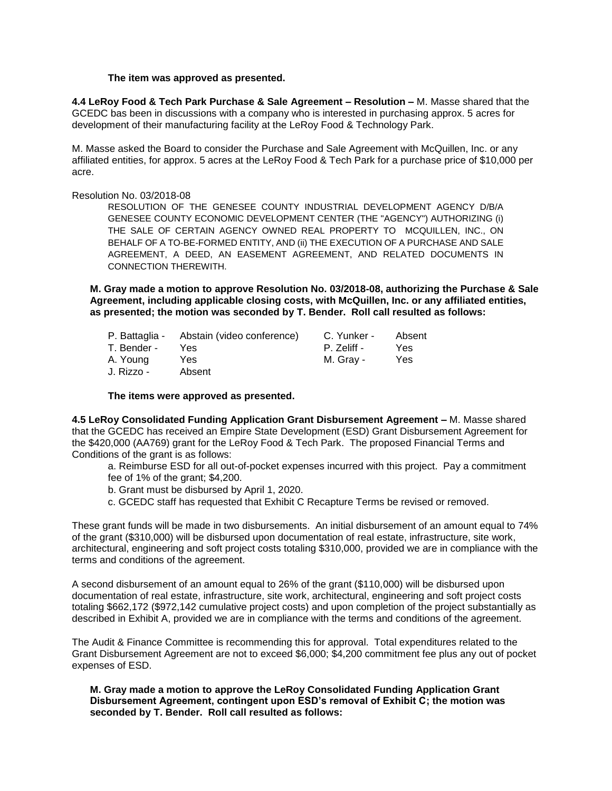#### **The item was approved as presented.**

**4.4 LeRoy Food & Tech Park Purchase & Sale Agreement – Resolution –** M. Masse shared that the GCEDC bas been in discussions with a company who is interested in purchasing approx. 5 acres for development of their manufacturing facility at the LeRoy Food & Technology Park.

M. Masse asked the Board to consider the Purchase and Sale Agreement with McQuillen, Inc. or any affiliated entities, for approx. 5 acres at the LeRoy Food & Tech Park for a purchase price of \$10,000 per acre.

Resolution No. 03/2018-08

RESOLUTION OF THE GENESEE COUNTY INDUSTRIAL DEVELOPMENT AGENCY D/B/A GENESEE COUNTY ECONOMIC DEVELOPMENT CENTER (THE "AGENCY") AUTHORIZING (i) THE SALE OF CERTAIN AGENCY OWNED REAL PROPERTY TO MCQUILLEN, INC., ON BEHALF OF A TO-BE-FORMED ENTITY, AND (ii) THE EXECUTION OF A PURCHASE AND SALE AGREEMENT, A DEED, AN EASEMENT AGREEMENT, AND RELATED DOCUMENTS IN CONNECTION THEREWITH.

**M. Gray made a motion to approve Resolution No. 03/2018-08, authorizing the Purchase & Sale Agreement, including applicable closing costs, with McQuillen, Inc. or any affiliated entities, as presented; the motion was seconded by T. Bender. Roll call resulted as follows:**

| P. Battaglia - | Abstain (video conference) | C. Yunker - | Absent |
|----------------|----------------------------|-------------|--------|
| T. Bender -    | Yes.                       | P. Zeliff - | Yes    |
| A. Young       | Yes.                       | M. Gray -   | Yes    |
| J. Rizzo -     | Absent                     |             |        |

**The items were approved as presented.**

**4.5 LeRoy Consolidated Funding Application Grant Disbursement Agreement –** M. Masse shared that the GCEDC has received an Empire State Development (ESD) Grant Disbursement Agreement for the \$420,000 (AA769) grant for the LeRoy Food & Tech Park. The proposed Financial Terms and Conditions of the grant is as follows:

a. Reimburse ESD for all out-of-pocket expenses incurred with this project. Pay a commitment fee of 1% of the grant; \$4,200.

- b. Grant must be disbursed by April 1, 2020.
- c. GCEDC staff has requested that Exhibit C Recapture Terms be revised or removed.

These grant funds will be made in two disbursements. An initial disbursement of an amount equal to 74% of the grant (\$310,000) will be disbursed upon documentation of real estate, infrastructure, site work, architectural, engineering and soft project costs totaling \$310,000, provided we are in compliance with the terms and conditions of the agreement.

A second disbursement of an amount equal to 26% of the grant (\$110,000) will be disbursed upon documentation of real estate, infrastructure, site work, architectural, engineering and soft project costs totaling \$662,172 (\$972,142 cumulative project costs) and upon completion of the project substantially as described in Exhibit A, provided we are in compliance with the terms and conditions of the agreement.

The Audit & Finance Committee is recommending this for approval. Total expenditures related to the Grant Disbursement Agreement are not to exceed \$6,000; \$4,200 commitment fee plus any out of pocket expenses of ESD.

**M. Gray made a motion to approve the LeRoy Consolidated Funding Application Grant Disbursement Agreement, contingent upon ESD's removal of Exhibit C; the motion was seconded by T. Bender. Roll call resulted as follows:**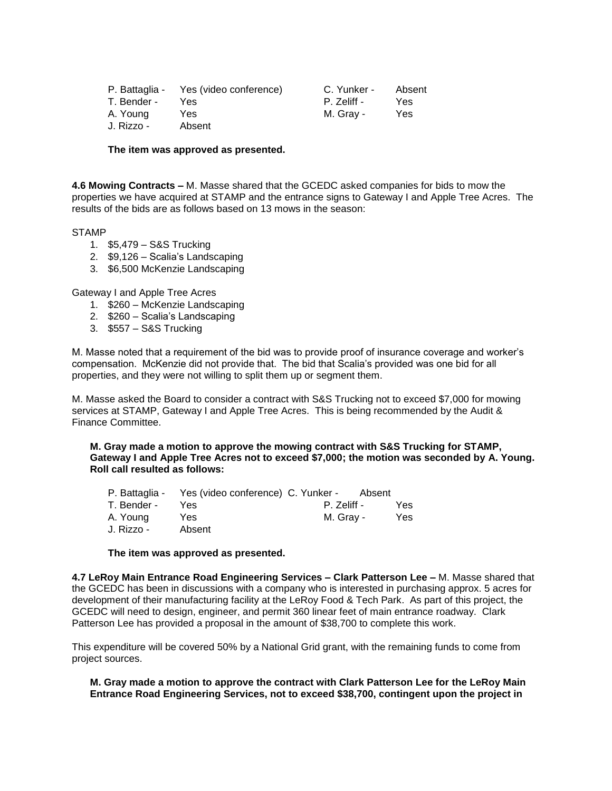| P. Battaglia - | Yes (video conference) | C. Yunker - | Absent |
|----------------|------------------------|-------------|--------|
| T. Bender -    | Yes                    | P. Zeliff - | Yes    |
| A. Young       | Yes                    | M. Grav -   | Yes    |
| J. Rizzo -     | Absent                 |             |        |

#### **The item was approved as presented.**

**4.6 Mowing Contracts –** M. Masse shared that the GCEDC asked companies for bids to mow the properties we have acquired at STAMP and the entrance signs to Gateway I and Apple Tree Acres. The results of the bids are as follows based on 13 mows in the season:

#### STAMP

- 1. \$5,479 S&S Trucking
- 2. \$9,126 Scalia's Landscaping
- 3. \$6,500 McKenzie Landscaping

Gateway I and Apple Tree Acres

- 1. \$260 McKenzie Landscaping
- 2. \$260 Scalia's Landscaping
- 3. \$557 S&S Trucking

M. Masse noted that a requirement of the bid was to provide proof of insurance coverage and worker's compensation. McKenzie did not provide that. The bid that Scalia's provided was one bid for all properties, and they were not willing to split them up or segment them.

M. Masse asked the Board to consider a contract with S&S Trucking not to exceed \$7,000 for mowing services at STAMP, Gateway I and Apple Tree Acres. This is being recommended by the Audit & Finance Committee.

**M. Gray made a motion to approve the mowing contract with S&S Trucking for STAMP, Gateway I and Apple Tree Acres not to exceed \$7,000; the motion was seconded by A. Young. Roll call resulted as follows:**

|             | P. Battaglia - Yes (video conference) C. Yunker - |             | Absent |
|-------------|---------------------------------------------------|-------------|--------|
| T. Bender - | Yes                                               | P. Zeliff - | Yes.   |
| A. Young    | Yes                                               | M. Grav -   | Yes.   |
| J. Rizzo -  | Absent                                            |             |        |

#### **The item was approved as presented.**

**4.7 LeRoy Main Entrance Road Engineering Services – Clark Patterson Lee –** M. Masse shared that the GCEDC has been in discussions with a company who is interested in purchasing approx. 5 acres for development of their manufacturing facility at the LeRoy Food & Tech Park. As part of this project, the GCEDC will need to design, engineer, and permit 360 linear feet of main entrance roadway. Clark Patterson Lee has provided a proposal in the amount of \$38,700 to complete this work.

This expenditure will be covered 50% by a National Grid grant, with the remaining funds to come from project sources.

#### **M. Gray made a motion to approve the contract with Clark Patterson Lee for the LeRoy Main Entrance Road Engineering Services, not to exceed \$38,700, contingent upon the project in**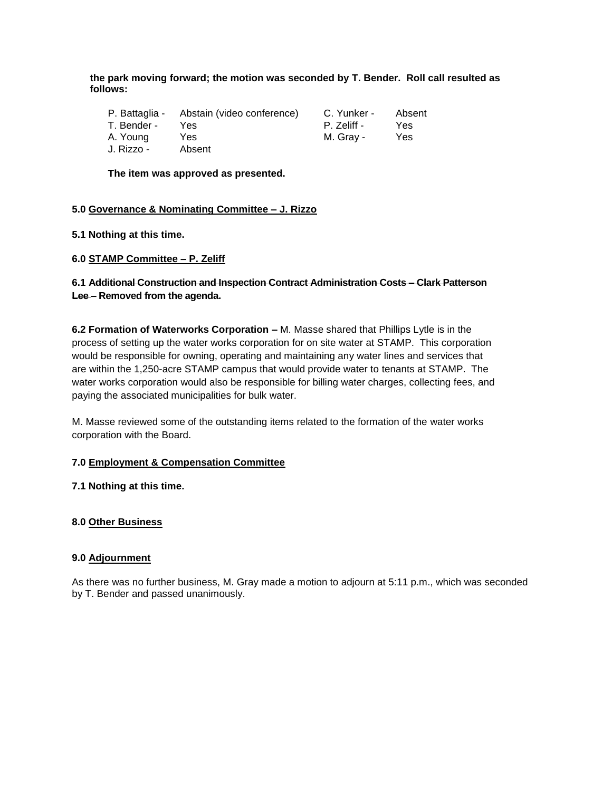**the park moving forward; the motion was seconded by T. Bender. Roll call resulted as follows:**

|             | P. Battaglia - Abstain (video conference) | C. Yunker - | Absent |
|-------------|-------------------------------------------|-------------|--------|
| T. Bender - | Yes.                                      | P. Zeliff - | Yes    |
| A. Young    | Yes.                                      | M. Gray -   | Yes    |
| J. Rizzo -  | Absent                                    |             |        |

**The item was approved as presented.**

## **5.0 Governance & Nominating Committee – J. Rizzo**

**5.1 Nothing at this time.**

## **6.0 STAMP Committee – P. Zeliff**

# **6.1 Additional Construction and Inspection Contract Administration Costs – Clark Patterson Lee – Removed from the agenda.**

**6.2 Formation of Waterworks Corporation –** M. Masse shared that Phillips Lytle is in the process of setting up the water works corporation for on site water at STAMP. This corporation would be responsible for owning, operating and maintaining any water lines and services that are within the 1,250-acre STAMP campus that would provide water to tenants at STAMP. The water works corporation would also be responsible for billing water charges, collecting fees, and paying the associated municipalities for bulk water.

M. Masse reviewed some of the outstanding items related to the formation of the water works corporation with the Board.

# **7.0 Employment & Compensation Committee**

#### **7.1 Nothing at this time.**

#### **8.0 Other Business**

#### **9.0 Adjournment**

As there was no further business, M. Gray made a motion to adjourn at 5:11 p.m., which was seconded by T. Bender and passed unanimously.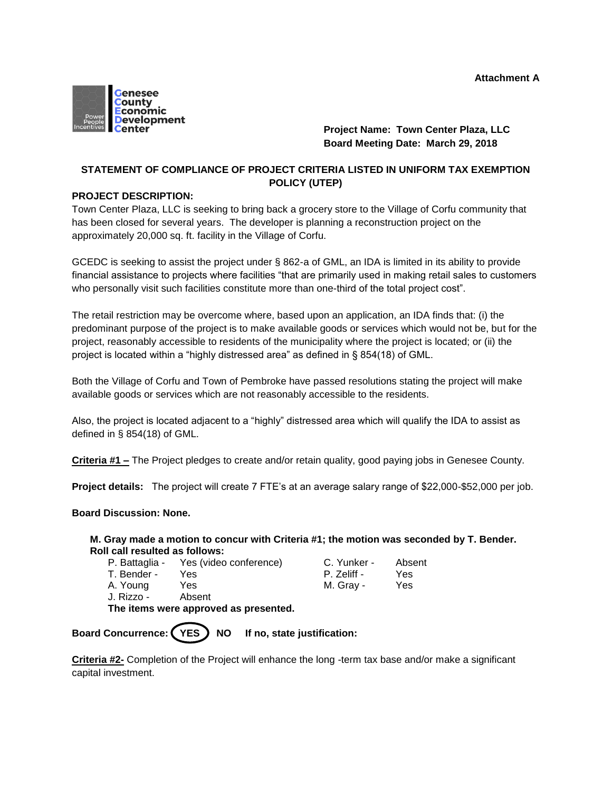

# **Project Name: Town Center Plaza, LLC Board Meeting Date: March 29, 2018**

# **STATEMENT OF COMPLIANCE OF PROJECT CRITERIA LISTED IN UNIFORM TAX EXEMPTION POLICY (UTEP)**

## **PROJECT DESCRIPTION:**

Town Center Plaza, LLC is seeking to bring back a grocery store to the Village of Corfu community that has been closed for several years. The developer is planning a reconstruction project on the approximately 20,000 sq. ft. facility in the Village of Corfu.

GCEDC is seeking to assist the project under § 862-a of GML, an IDA is limited in its ability to provide financial assistance to projects where facilities "that are primarily used in making retail sales to customers who personally visit such facilities constitute more than one-third of the total project cost".

The retail restriction may be overcome where, based upon an application, an IDA finds that: (i) the predominant purpose of the project is to make available goods or services which would not be, but for the project, reasonably accessible to residents of the municipality where the project is located; or (ii) the project is located within a "highly distressed area" as defined in § 854(18) of GML.

Both the Village of Corfu and Town of Pembroke have passed resolutions stating the project will make available goods or services which are not reasonably accessible to the residents.

Also, the project is located adjacent to a "highly" distressed area which will qualify the IDA to assist as defined in § 854(18) of GML.

**Criteria #1 –** The Project pledges to create and/or retain quality, good paying jobs in Genesee County.

**Project details:** The project will create 7 FTE's at an average salary range of \$22,000-\$52,000 per job.

## **Board Discussion: None.**

## **M. Gray made a motion to concur with Criteria #1; the motion was seconded by T. Bender. Roll call resulted as follows:**

| P. Battaglia - | Yes (video conference) | C. Yunker - | Absent |
|----------------|------------------------|-------------|--------|

| T. Bender - | Yes. | P. Zeliff - | Yes |
|-------------|------|-------------|-----|
| A. Young    | Yes  | M. Gray -   | Yes |

| . Yunker -  | Absent |
|-------------|--------|
| '. Zeliff - | Yes    |
| 1. Gray -   | Yes    |

J. Rizzo - Absent

**The items were approved as presented.**

Board Concurrence: (YES) NO If no, state justification:

**Criteria #2-** Completion of the Project will enhance the long -term tax base and/or make a significant capital investment.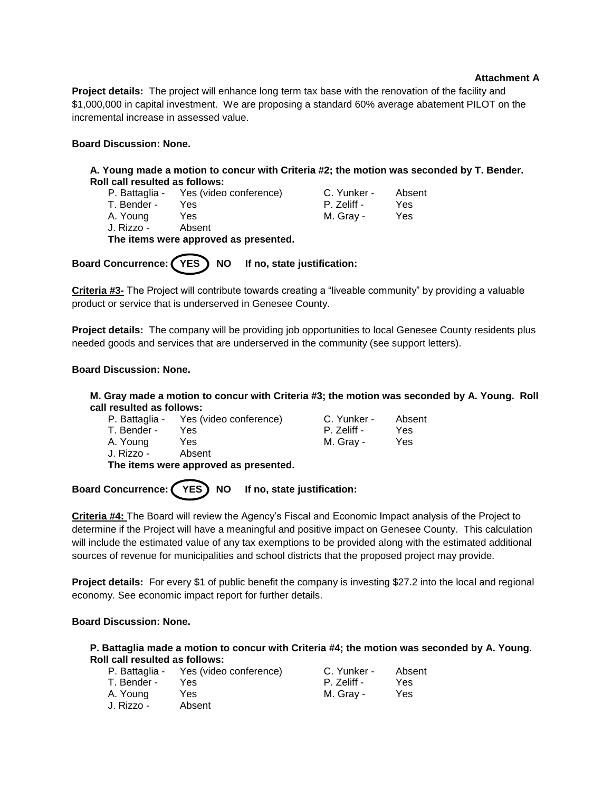## **Attachment A**

**Project details:** The project will enhance long term tax base with the renovation of the facility and \$1,000,000 in capital investment. We are proposing a standard 60% average abatement PILOT on the incremental increase in assessed value.

## **Board Discussion: None.**

**A. Young made a motion to concur with Criteria #2; the motion was seconded by T. Bender. Roll call resulted as follows:**

P. Battaglia - Yes (video conference) C. Yunker - Absent<br>T. Bender - Yes - Sessience - P. Zeliff - Yes T. Bender - Yes **P. Zeliff - Yes** A. Young Yes M. Gray - Yes J. Rizzo - Absent

**The items were approved as presented.**

Board Concurrence: (YES) NO If no, state justification:

**Criteria #3-** The Project will contribute towards creating a "liveable community" by providing a valuable product or service that is underserved in Genesee County.

**Project details:** The company will be providing job opportunities to local Genesee County residents plus needed goods and services that are underserved in the community (see support letters).

## **Board Discussion: None.**

**M. Gray made a motion to concur with Criteria #3; the motion was seconded by A. Young. Roll call resulted as follows:**

| P. Battaglia - | Yes (video conference) | C. Yunker - | Absent |
|----------------|------------------------|-------------|--------|
| T. Bender -    | Yes.                   | P. Zeliff - | Yes    |
| A. Young       | Yes                    | M. Gray -   | Yes    |
|                |                        |             |        |

J. Rizzo - Absent **The items were approved as presented.**

Board Concurrence: (YES) NO If no, state justification:

**Criteria #4:** The Board will review the Agency's Fiscal and Economic Impact analysis of the Project to determine if the Project will have a meaningful and positive impact on Genesee County. This calculation will include the estimated value of any tax exemptions to be provided along with the estimated additional sources of revenue for municipalities and school districts that the proposed project may provide.

**Project details:** For every \$1 of public benefit the company is investing \$27.2 into the local and regional economy. See economic impact report for further details.

# **Board Discussion: None.**

#### **P. Battaglia made a motion to concur with Criteria #4; the motion was seconded by A. Young. Roll call resulted as follows:**

|             | P. Battaglia - Yes (video conference) | C. Yunker - | Absent |
|-------------|---------------------------------------|-------------|--------|
| T. Bender - | Yes                                   | P. Zeliff - | Yes    |
| A. Young    | Yes.                                  | M. Gray -   | Yes    |
| J. Rizzo -  | Absent                                |             |        |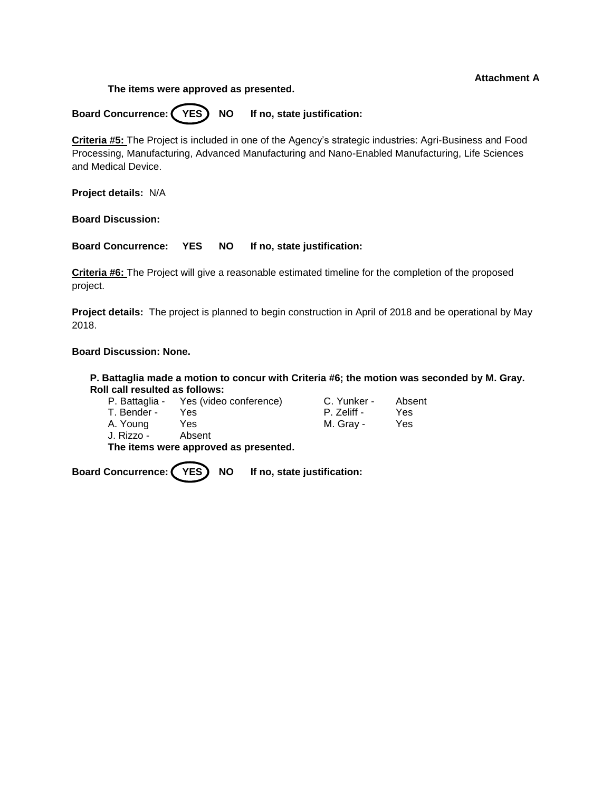## **Attachment A**

**The items were approved as presented.**

Board Concurrence: (YES) NO If no, state justification:

**Criteria #5:** The Project is included in one of the Agency's strategic industries: Agri-Business and Food Processing, Manufacturing, Advanced Manufacturing and Nano-Enabled Manufacturing, Life Sciences and Medical Device.

**Project details:** N/A

**Board Discussion:**

**Board Concurrence: YES NO If no, state justification:** 

**Criteria #6:** The Project will give a reasonable estimated timeline for the completion of the proposed project.

**Project details:** The project is planned to begin construction in April of 2018 and be operational by May 2018.

# **Board Discussion: None.**

**P. Battaglia made a motion to concur with Criteria #6; the motion was seconded by M. Gray. Roll call resulted as follows:**

|             | P. Battaglia - Yes (video conference) | C. Yunker - | Absent |
|-------------|---------------------------------------|-------------|--------|
| T. Bender - | Yes.                                  | P. Zeliff - | Yes    |
| A. Young    | Yes                                   | M. Gray -   | Yes    |
| J. Rizzo -  | Absent                                |             |        |

**The items were approved as presented.**

Board Concurrence: (YES) NO If no, state justification: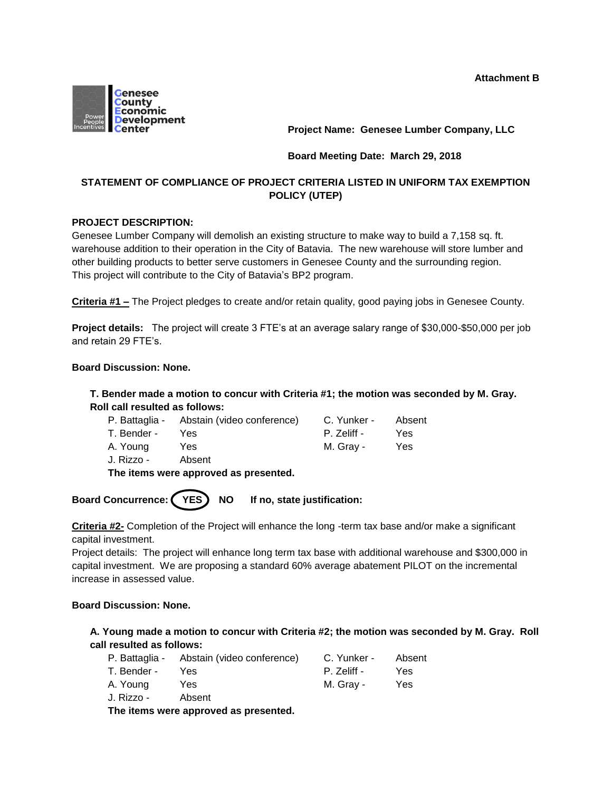

**Project Name: Genesee Lumber Company, LLC**

## **Board Meeting Date: March 29, 2018**

# **STATEMENT OF COMPLIANCE OF PROJECT CRITERIA LISTED IN UNIFORM TAX EXEMPTION POLICY (UTEP)**

## **PROJECT DESCRIPTION:**

Genesee Lumber Company will demolish an existing structure to make way to build a 7,158 sq. ft. warehouse addition to their operation in the City of Batavia. The new warehouse will store lumber and other building products to better serve customers in Genesee County and the surrounding region. This project will contribute to the City of Batavia's BP2 program.

**Criteria #1 –** The Project pledges to create and/or retain quality, good paying jobs in Genesee County.

**Project details:** The project will create 3 FTE's at an average salary range of \$30,000-\$50,000 per job and retain 29 FTE's.

#### **Board Discussion: None.**

# **T. Bender made a motion to concur with Criteria #1; the motion was seconded by M. Gray. Roll call resulted as follows:**

|             | P. Battaglia - Abstain (video conference) | C. Yunker - | Absent |
|-------------|-------------------------------------------|-------------|--------|
| T. Bender - | Yes                                       | P. Zeliff - | Yes    |
| A. Young    | Yes                                       | M. Grav -   | Yes    |
| J. Rizzo -  | Absent                                    |             |        |

**The items were approved as presented.**

Board Concurrence: (YES) NO If no, state justification:

**Criteria #2-** Completion of the Project will enhance the long -term tax base and/or make a significant capital investment.

Project details: The project will enhance long term tax base with additional warehouse and \$300,000 in capital investment. We are proposing a standard 60% average abatement PILOT on the incremental increase in assessed value.

#### **Board Discussion: None.**

# **A. Young made a motion to concur with Criteria #2; the motion was seconded by M. Gray. Roll call resulted as follows:**

|             | P. Battaglia - Abstain (video conference) | C. Yunker - | Absent |
|-------------|-------------------------------------------|-------------|--------|
| T. Bender - | Yes.                                      | P. Zeliff - | Yes    |
| A. Young    | Yes                                       | M. Gray -   | Yes    |
| J. Rizzo -  | Absent                                    |             |        |

**The items were approved as presented.**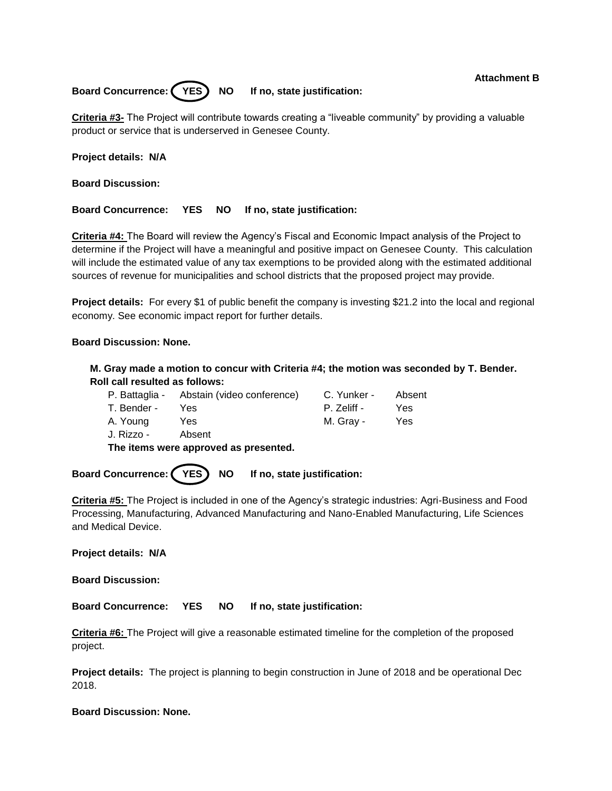## **Attachment B**

Board Concurrence: (YES) NO If no, state justification:

**Criteria #3-** The Project will contribute towards creating a "liveable community" by providing a valuable product or service that is underserved in Genesee County.

**Project details: N/A**

**Board Discussion:**

**Board Concurrence: YES NO If no, state justification:**

**Criteria #4:** The Board will review the Agency's Fiscal and Economic Impact analysis of the Project to determine if the Project will have a meaningful and positive impact on Genesee County. This calculation will include the estimated value of any tax exemptions to be provided along with the estimated additional sources of revenue for municipalities and school districts that the proposed project may provide.

**Project details:** For every \$1 of public benefit the company is investing \$21.2 into the local and regional economy. See economic impact report for further details.

## **Board Discussion: None.**

**M. Gray made a motion to concur with Criteria #4; the motion was seconded by T. Bender. Roll call resulted as follows:**

|             | P. Battaglia - Abstain (video conference) | C. Yunker - | Absent |
|-------------|-------------------------------------------|-------------|--------|
| T. Bender - | Yes                                       | P. Zeliff - | Yes    |
| A. Young    | Yes                                       | M. Gray -   | Yes    |
| J. Rizzo -  | Absent                                    |             |        |

**The items were approved as presented.**

Board Concurrence: (YES) NO If no, state justification:

**Criteria #5:** The Project is included in one of the Agency's strategic industries: Agri-Business and Food Processing, Manufacturing, Advanced Manufacturing and Nano-Enabled Manufacturing, Life Sciences and Medical Device.

**Project details: N/A**

**Board Discussion:**

**Board Concurrence: YES NO If no, state justification:** 

**Criteria #6:** The Project will give a reasonable estimated timeline for the completion of the proposed project.

**Project details:** The project is planning to begin construction in June of 2018 and be operational Dec 2018.

#### **Board Discussion: None.**